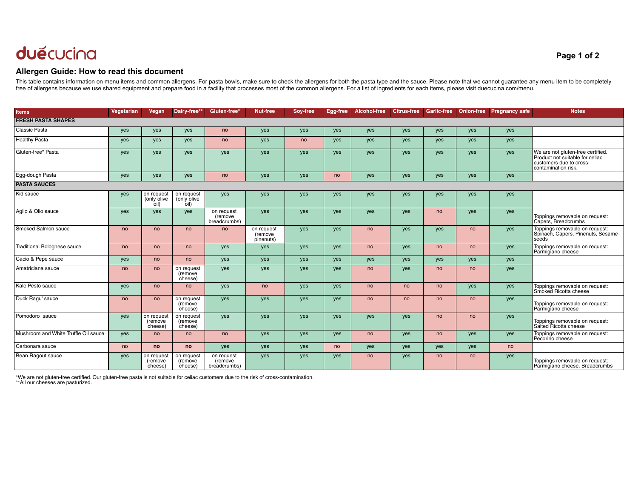## duěcucina

## **Allergen Guide: How to read this document**

This table contains information on menu items and common allergens. For pasta bowls, make sure to check the allergens for both the pasta type and the sauce. Please note that we cannot guarantee any menu item to be complete free of allergens because we use shared equipment and prepare food in a facility that processes most of the common allergens. For a list of ingredients for each items, please visit duecucina.com/menu.

| <b>Items</b>                         | Vegetarian | Vegan                             | Dairy-free*'                      | Gluten-free <sup>*</sup>              | <b>Nut-free</b>                    | Soy-free | Egg-free | Alcohol-free | <b>Citrus-free</b> | <b>Garlic-free</b> | <b>Onion-free</b> | <b>Pregnancy safe</b> | <b>Notes</b>                                                                                                           |
|--------------------------------------|------------|-----------------------------------|-----------------------------------|---------------------------------------|------------------------------------|----------|----------|--------------|--------------------|--------------------|-------------------|-----------------------|------------------------------------------------------------------------------------------------------------------------|
| <b>FRESH PASTA SHAPES</b>            |            |                                   |                                   |                                       |                                    |          |          |              |                    |                    |                   |                       |                                                                                                                        |
| Classic Pasta                        | yes        | yes                               | yes                               | no                                    | yes                                | yes      | yes      | yes          | yes                | yes                | yes               | yes                   |                                                                                                                        |
| <b>Healthy Pasta</b>                 | yes        | <b>ves</b>                        | yes                               | no                                    | yes                                | no       | yes      | yes          | yes                | yes                | yes               | yes                   |                                                                                                                        |
| Gluten-free* Pasta                   | yes        | <b>ves</b>                        | yes                               | <b>ves</b>                            | yes                                | yes      | yes      | yes          | yes                | yes                | yes               | yes                   | We are not gluten-free certified.<br>Product not suitable for celiac<br>customers due to cross-<br>contamination risk. |
| Egg-dough Pasta                      | yes        | yes                               | yes                               | no                                    | yes                                | yes      | no       | yes          | yes                | yes                | yes               | yes                   |                                                                                                                        |
| <b>PASTA SAUCES</b>                  |            |                                   |                                   |                                       |                                    |          |          |              |                    |                    |                   |                       |                                                                                                                        |
| Kid sauce                            | yes        | on request<br>(only olive<br>oil) | on request<br>(only olive<br>oil) | yes                                   | yes                                | yes      | yes      | yes          | yes                | yes                | yes               | yes                   |                                                                                                                        |
| Aglio & Olio sauce                   | yes        | yes                               | yes                               | on request<br>(remove<br>breadcrumbs) | yes                                | yes      | yes      | yes          | yes                | no                 | yes               | yes                   | Toppings removable on request:<br>Capers, Breadcrumbs                                                                  |
| Smoked Salmon sauce                  | no         | no                                | no                                | no                                    | on request<br>(remove<br>pinenuts) | yes      | yes      | no           | yes                | yes                | no                | yes                   | Toppings removable on request:<br>Spinach, Capers, Pinenuts, Sesame<br>seeds                                           |
| <b>Traditional Bolognese sauce</b>   | no         | no                                | <sub>no</sub>                     | yes                                   | yes                                | yes      | yes      | no           | yes                | no                 | no                | yes                   | Toppings removable on request:<br>Parmigiano cheese                                                                    |
| Cacio & Pepe sauce                   | yes        | no                                | no                                | yes                                   | yes                                | yes      | yes      | yes          | yes                | yes                | yes               | yes                   |                                                                                                                        |
| Amatriciana sauce                    | no         | no                                | on request<br>(remove<br>cheese)  | yes                                   | yes                                | yes      | yes      | no           | yes                | no                 | no                | yes                   |                                                                                                                        |
| Kale Pesto sauce                     | yes        | no                                | no                                | yes                                   | no                                 | yes      | yes      | no           | no                 | no                 | yes               | yes                   | Toppings removable on request:<br>Smoked Ricotta cheese                                                                |
| Duck Ragu' sauce                     | no         | no                                | on request<br>(remove<br>cheese)  | yes                                   | yes                                | yes      | yes      | no           | no                 | no                 | no                | yes                   | Toppings removable on request:<br>Parmigiano cheese                                                                    |
| Pomodoro sauce                       | yes        | on request<br>(remove<br>cheese)  | on request<br>(remove<br>cheese)  | yes                                   | yes                                | yes      | yes      | yes          | yes                | no                 | no                | yes                   | Toppings removable on request:<br>Salted Ricotta cheese                                                                |
| Mushroom and White Truffle Oil sauce | yes        | no                                | no                                | no                                    | yes                                | yes      | yes      | no           | yes                | no                 | yes               | yes                   | Toppings removable on request:<br>Pecorino cheese                                                                      |
| Carbonara sauce                      | no         | <b>no</b>                         | no                                | yes                                   | yes                                | yes      | no       | yes          | yes                | yes                | yes               | no                    |                                                                                                                        |
| Bean Ragout sauce                    | yes        | on request<br>(remove<br>cheese)  | on request<br>(remove<br>cheese)  | on request<br>(remove<br>breadcrumbs) | yes                                | yes      | yes      | no           | yes                | no                 | no                | yes                   | Toppings removable on request:<br>Parmigiano cheese, Breadcrumbs                                                       |

\*We are not gluten-free certified. Our gluten-free pasta is not suitable for celiac customers due to the risk of cross-contamination. \*\*All our cheeses are pasturized.